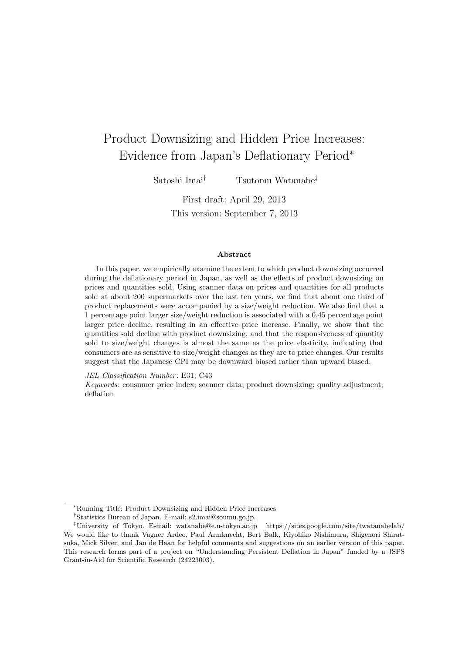### Product Downsizing and Hidden Price Increases: Evidence from Japan's Deflationary Period*<sup>∗</sup>*

Satoshi Imai*†* Tsutomu Watanabe*‡*

First draft: April 29, 2013 This version: September 7, 2013

#### **Abstract**

In this paper, we empirically examine the extent to which product downsizing occurred during the deflationary period in Japan, as well as the effects of product downsizing on prices and quantities sold. Using scanner data on prices and quantities for all products sold at about 200 supermarkets over the last ten years, we find that about one third of product replacements were accompanied by a size/weight reduction. We also find that a 1 percentage point larger size/weight reduction is associated with a 0.45 percentage point larger price decline, resulting in an effective price increase. Finally, we show that the quantities sold decline with product downsizing, and that the responsiveness of quantity sold to size/weight changes is almost the same as the price elasticity, indicating that consumers are as sensitive to size/weight changes as they are to price changes. Our results suggest that the Japanese CPI may be downward biased rather than upward biased.

*JEL Classification Number*: E31; C43

*Keywords*: consumer price index; scanner data; product downsizing; quality adjustment; deflation

*<sup>∗</sup>*Running Title: Product Downsizing and Hidden Price Increases

*<sup>†</sup>*Statistics Bureau of Japan. E-mail: s2.imai@soumu.go.jp.

*<sup>‡</sup>*University of Tokyo. E-mail: watanabe@e.u-tokyo.ac.jp https://sites.google.com/site/twatanabelab/ We would like to thank Vagner Ardeo, Paul Armknecht, Bert Balk, Kiyohiko Nishimura, Shigenori Shiratsuka, Mick Silver, and Jan de Haan for helpful comments and suggestions on an earlier version of this paper. This research forms part of a project on "Understanding Persistent Deflation in Japan" funded by a JSPS Grant-in-Aid for Scientific Research (24223003).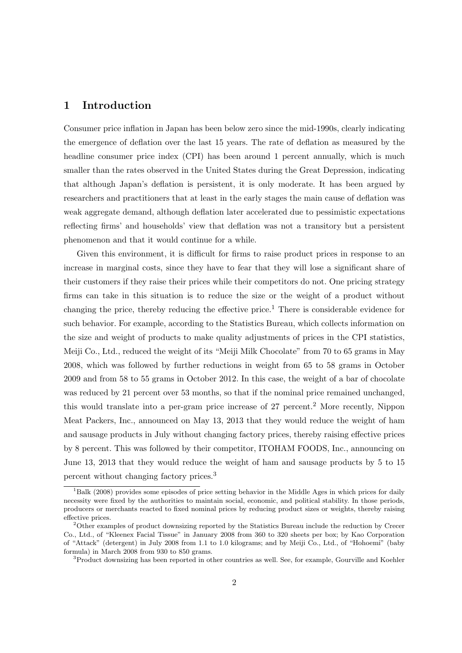### **1 Introduction**

Consumer price inflation in Japan has been below zero since the mid-1990s, clearly indicating the emergence of deflation over the last 15 years. The rate of deflation as measured by the headline consumer price index (CPI) has been around 1 percent annually, which is much smaller than the rates observed in the United States during the Great Depression, indicating that although Japan's deflation is persistent, it is only moderate. It has been argued by researchers and practitioners that at least in the early stages the main cause of deflation was weak aggregate demand, although deflation later accelerated due to pessimistic expectations reflecting firms' and households' view that deflation was not a transitory but a persistent phenomenon and that it would continue for a while.

Given this environment, it is difficult for firms to raise product prices in response to an increase in marginal costs, since they have to fear that they will lose a significant share of their customers if they raise their prices while their competitors do not. One pricing strategy firms can take in this situation is to reduce the size or the weight of a product without changing the price, thereby reducing the effective price.<sup>1</sup> There is considerable evidence for such behavior. For example, according to the Statistics Bureau, which collects information on the size and weight of products to make quality adjustments of prices in the CPI statistics, Meiji Co., Ltd., reduced the weight of its "Meiji Milk Chocolate" from 70 to 65 grams in May 2008, which was followed by further reductions in weight from 65 to 58 grams in October 2009 and from 58 to 55 grams in October 2012. In this case, the weight of a bar of chocolate was reduced by 21 percent over 53 months, so that if the nominal price remained unchanged, this would translate into a per-gram price increase of 27 percent.<sup>2</sup> More recently, Nippon Meat Packers, Inc., announced on May 13, 2013 that they would reduce the weight of ham and sausage products in July without changing factory prices, thereby raising effective prices by 8 percent. This was followed by their competitor, ITOHAM FOODS, Inc., announcing on June 13, 2013 that they would reduce the weight of ham and sausage products by 5 to 15 percent without changing factory prices.<sup>3</sup>

<sup>&</sup>lt;sup>1</sup>Balk (2008) provides some episodes of price setting behavior in the Middle Ages in which prices for daily necessity were fixed by the authorities to maintain social, economic, and political stability. In those periods, producers or merchants reacted to fixed nominal prices by reducing product sizes or weights, thereby raising effective prices.

<sup>2</sup>Other examples of product downsizing reported by the Statistics Bureau include the reduction by Crecer Co., Ltd., of "Kleenex Facial Tissue" in January 2008 from 360 to 320 sheets per box; by Kao Corporation of "Attack" (detergent) in July 2008 from 1.1 to 1.0 kilograms; and by Meiji Co., Ltd., of "Hohoemi" (baby formula) in March 2008 from 930 to 850 grams.

<sup>&</sup>lt;sup>3</sup>Product downsizing has been reported in other countries as well. See, for example, Gourville and Koehler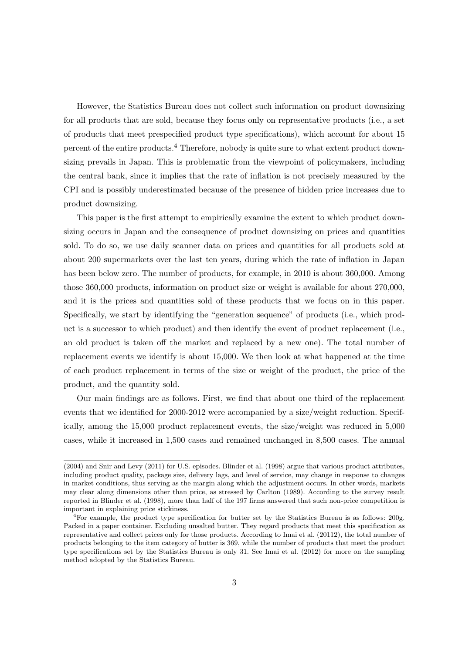However, the Statistics Bureau does not collect such information on product downsizing for all products that are sold, because they focus only on representative products (i.e., a set of products that meet prespecified product type specifications), which account for about 15 percent of the entire products.<sup>4</sup> Therefore, nobody is quite sure to what extent product downsizing prevails in Japan. This is problematic from the viewpoint of policymakers, including the central bank, since it implies that the rate of inflation is not precisely measured by the CPI and is possibly underestimated because of the presence of hidden price increases due to product downsizing.

This paper is the first attempt to empirically examine the extent to which product downsizing occurs in Japan and the consequence of product downsizing on prices and quantities sold. To do so, we use daily scanner data on prices and quantities for all products sold at about 200 supermarkets over the last ten years, during which the rate of inflation in Japan has been below zero. The number of products, for example, in 2010 is about 360,000. Among those 360,000 products, information on product size or weight is available for about 270,000, and it is the prices and quantities sold of these products that we focus on in this paper. Specifically, we start by identifying the "generation sequence" of products (i.e., which product is a successor to which product) and then identify the event of product replacement (i.e., an old product is taken off the market and replaced by a new one). The total number of replacement events we identify is about 15,000. We then look at what happened at the time of each product replacement in terms of the size or weight of the product, the price of the product, and the quantity sold.

Our main findings are as follows. First, we find that about one third of the replacement events that we identified for 2000-2012 were accompanied by a size/weight reduction. Specifically, among the 15,000 product replacement events, the size/weight was reduced in 5,000 cases, while it increased in 1,500 cases and remained unchanged in 8,500 cases. The annual

<sup>(2004)</sup> and Snir and Levy (2011) for U.S. episodes. Blinder et al. (1998) argue that various product attributes, including product quality, package size, delivery lags, and level of service, may change in response to changes in market conditions, thus serving as the margin along which the adjustment occurs. In other words, markets may clear along dimensions other than price, as stressed by Carlton (1989). According to the survey result reported in Blinder et al. (1998), more than half of the 197 firms answered that such non-price competition is important in explaining price stickiness.

<sup>&</sup>lt;sup>4</sup>For example, the product type specification for butter set by the Statistics Bureau is as follows: 200g. Packed in a paper container. Excluding unsalted butter. They regard products that meet this specification as representative and collect prices only for those products. According to Imai et al. (20112), the total number of products belonging to the item category of butter is 369, while the number of products that meet the product type specifications set by the Statistics Bureau is only 31. See Imai et al. (2012) for more on the sampling method adopted by the Statistics Bureau.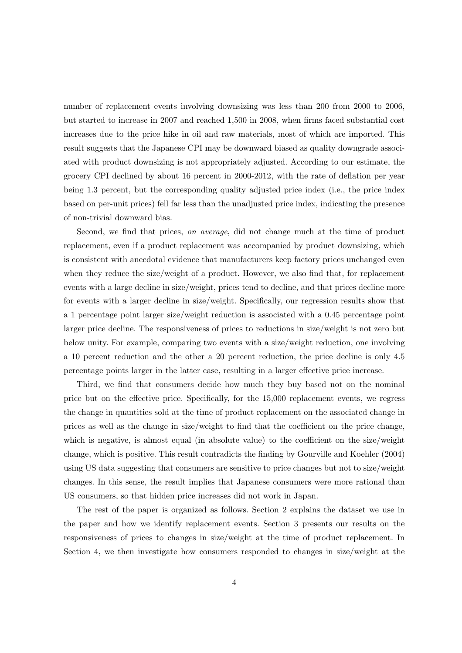number of replacement events involving downsizing was less than 200 from 2000 to 2006, but started to increase in 2007 and reached 1,500 in 2008, when firms faced substantial cost increases due to the price hike in oil and raw materials, most of which are imported. This result suggests that the Japanese CPI may be downward biased as quality downgrade associated with product downsizing is not appropriately adjusted. According to our estimate, the grocery CPI declined by about 16 percent in 2000-2012, with the rate of deflation per year being 1.3 percent, but the corresponding quality adjusted price index (i.e., the price index based on per-unit prices) fell far less than the unadjusted price index, indicating the presence of non-trivial downward bias.

Second, we find that prices, *on average*, did not change much at the time of product replacement, even if a product replacement was accompanied by product downsizing, which is consistent with anecdotal evidence that manufacturers keep factory prices unchanged even when they reduce the size/weight of a product. However, we also find that, for replacement events with a large decline in size/weight, prices tend to decline, and that prices decline more for events with a larger decline in size/weight. Specifically, our regression results show that a 1 percentage point larger size/weight reduction is associated with a 0.45 percentage point larger price decline. The responsiveness of prices to reductions in size/weight is not zero but below unity. For example, comparing two events with a size/weight reduction, one involving a 10 percent reduction and the other a 20 percent reduction, the price decline is only 4.5 percentage points larger in the latter case, resulting in a larger effective price increase.

Third, we find that consumers decide how much they buy based not on the nominal price but on the effective price. Specifically, for the 15,000 replacement events, we regress the change in quantities sold at the time of product replacement on the associated change in prices as well as the change in size/weight to find that the coefficient on the price change, which is negative, is almost equal (in absolute value) to the coefficient on the size/weight change, which is positive. This result contradicts the finding by Gourville and Koehler (2004) using US data suggesting that consumers are sensitive to price changes but not to size/weight changes. In this sense, the result implies that Japanese consumers were more rational than US consumers, so that hidden price increases did not work in Japan.

The rest of the paper is organized as follows. Section 2 explains the dataset we use in the paper and how we identify replacement events. Section 3 presents our results on the responsiveness of prices to changes in size/weight at the time of product replacement. In Section 4, we then investigate how consumers responded to changes in size/weight at the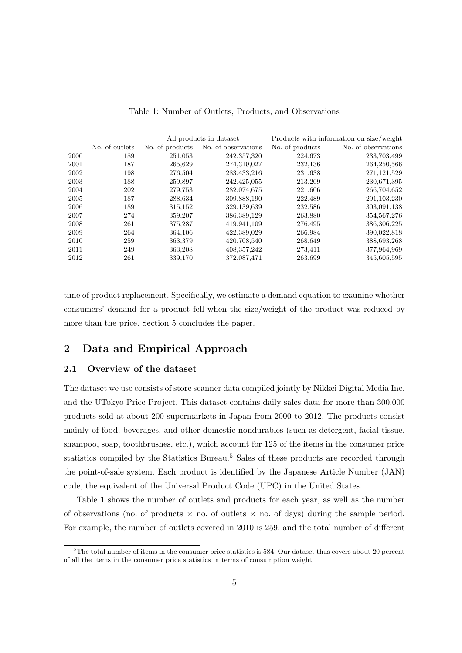|      |                |                 | All products in dataset | Products with information on size/weight |                     |  |
|------|----------------|-----------------|-------------------------|------------------------------------------|---------------------|--|
|      | No. of outlets | No. of products | No. of observations     | No. of products                          | No. of observations |  |
| 2000 | 189            | 251,053         | 242,357,320             | 224,673                                  | 233,703,499         |  |
| 2001 | 187            | 265,629         | 274,319,027             | 232,136                                  | 264, 250, 566       |  |
| 2002 | 198            | 276,504         | 283,433,216             | 231,638                                  | 271, 121, 529       |  |
| 2003 | 188            | 259,897         | 242, 425, 055           | 213,209                                  | 230,671,395         |  |
| 2004 | 202            | 279,753         | 282,074,675             | 221,606                                  | 266,704,652         |  |
| 2005 | 187            | 288,634         | 309,888,190             | 222,489                                  | 291, 103, 230       |  |
| 2006 | 189            | 315,152         | 329,139,639             | 232,586                                  | 303,091,138         |  |
| 2007 | 274            | 359,207         | 386, 389, 129           | 263,880                                  | 354,567,276         |  |
| 2008 | 261            | 375,287         | 419,941,109             | 276,495                                  | 386, 306, 225       |  |
| 2009 | 264            | 364,106         | 422,389,029             | 266,984                                  | 390,022,818         |  |
| 2010 | 259            | 363,379         | 420,708,540             | 268,649                                  | 388,693,268         |  |
| 2011 | 249            | 363,208         | 408, 357, 242           | 273,411                                  | 377,964,969         |  |
| 2012 | 261            | 339,170         | 372,087,471             | 263,699                                  | 345,605,595         |  |

Table 1: Number of Outlets, Products, and Observations

time of product replacement. Specifically, we estimate a demand equation to examine whether consumers' demand for a product fell when the size/weight of the product was reduced by more than the price. Section 5 concludes the paper.

### **2 Data and Empirical Approach**

#### **2.1 Overview of the dataset**

The dataset we use consists of store scanner data compiled jointly by Nikkei Digital Media Inc. and the UTokyo Price Project. This dataset contains daily sales data for more than 300,000 products sold at about 200 supermarkets in Japan from 2000 to 2012. The products consist mainly of food, beverages, and other domestic nondurables (such as detergent, facial tissue, shampoo, soap, toothbrushes, etc.), which account for 125 of the items in the consumer price statistics compiled by the Statistics Bureau.<sup>5</sup> Sales of these products are recorded through the point-of-sale system. Each product is identified by the Japanese Article Number (JAN) code, the equivalent of the Universal Product Code (UPC) in the United States.

Table 1 shows the number of outlets and products for each year, as well as the number of observations (no. of products  $\times$  no. of outlets  $\times$  no. of days) during the sample period. For example, the number of outlets covered in 2010 is 259, and the total number of different

<sup>5</sup>The total number of items in the consumer price statistics is 584. Our dataset thus covers about 20 percent of all the items in the consumer price statistics in terms of consumption weight.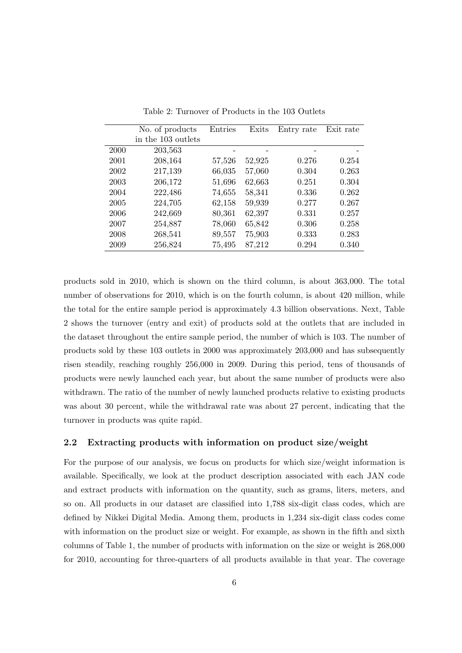|      | No. of products    | Entries | Exits  | Entry rate | Exit rate |
|------|--------------------|---------|--------|------------|-----------|
|      | in the 103 outlets |         |        |            |           |
| 2000 | 203,563            |         |        |            |           |
| 2001 | 208,164            | 57,526  | 52,925 | 0.276      | 0.254     |
| 2002 | 217,139            | 66,035  | 57,060 | 0.304      | 0.263     |
| 2003 | 206,172            | 51,696  | 62,663 | 0.251      | 0.304     |
| 2004 | 222,486            | 74,655  | 58,341 | 0.336      | 0.262     |
| 2005 | 224,705            | 62,158  | 59,939 | 0.277      | 0.267     |
| 2006 | 242,669            | 80,361  | 62,397 | 0.331      | 0.257     |
| 2007 | 254,887            | 78,060  | 65,842 | 0.306      | 0.258     |
| 2008 | 268,541            | 89,557  | 75,903 | 0.333      | 0.283     |
| 2009 | 256,824            | 75,495  | 87,212 | 0.294      | 0.340     |

Table 2: Turnover of Products in the 103 Outlets

products sold in 2010, which is shown on the third column, is about 363,000. The total number of observations for 2010, which is on the fourth column, is about 420 million, while the total for the entire sample period is approximately 4.3 billion observations. Next, Table 2 shows the turnover (entry and exit) of products sold at the outlets that are included in the dataset throughout the entire sample period, the number of which is 103. The number of products sold by these 103 outlets in 2000 was approximately 203,000 and has subsequently risen steadily, reaching roughly 256,000 in 2009. During this period, tens of thousands of products were newly launched each year, but about the same number of products were also withdrawn. The ratio of the number of newly launched products relative to existing products was about 30 percent, while the withdrawal rate was about 27 percent, indicating that the turnover in products was quite rapid.

#### **2.2 Extracting products with information on product size/weight**

For the purpose of our analysis, we focus on products for which size/weight information is available. Specifically, we look at the product description associated with each JAN code and extract products with information on the quantity, such as grams, liters, meters, and so on. All products in our dataset are classified into 1,788 six-digit class codes, which are defined by Nikkei Digital Media. Among them, products in 1,234 six-digit class codes come with information on the product size or weight. For example, as shown in the fifth and sixth columns of Table 1, the number of products with information on the size or weight is 268,000 for 2010, accounting for three-quarters of all products available in that year. The coverage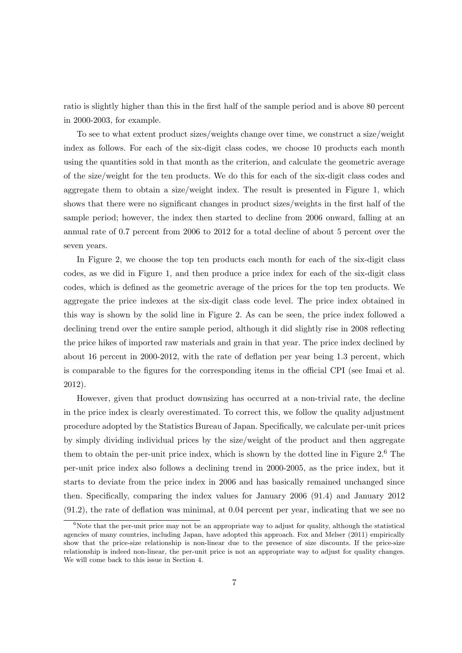ratio is slightly higher than this in the first half of the sample period and is above 80 percent in 2000-2003, for example.

To see to what extent product sizes/weights change over time, we construct a size/weight index as follows. For each of the six-digit class codes, we choose 10 products each month using the quantities sold in that month as the criterion, and calculate the geometric average of the size/weight for the ten products. We do this for each of the six-digit class codes and aggregate them to obtain a size/weight index. The result is presented in Figure 1, which shows that there were no significant changes in product sizes/weights in the first half of the sample period; however, the index then started to decline from 2006 onward, falling at an annual rate of 0.7 percent from 2006 to 2012 for a total decline of about 5 percent over the seven years.

In Figure 2, we choose the top ten products each month for each of the six-digit class codes, as we did in Figure 1, and then produce a price index for each of the six-digit class codes, which is defined as the geometric average of the prices for the top ten products. We aggregate the price indexes at the six-digit class code level. The price index obtained in this way is shown by the solid line in Figure 2. As can be seen, the price index followed a declining trend over the entire sample period, although it did slightly rise in 2008 reflecting the price hikes of imported raw materials and grain in that year. The price index declined by about 16 percent in 2000-2012, with the rate of deflation per year being 1.3 percent, which is comparable to the figures for the corresponding items in the official CPI (see Imai et al. 2012).

However, given that product downsizing has occurred at a non-trivial rate, the decline in the price index is clearly overestimated. To correct this, we follow the quality adjustment procedure adopted by the Statistics Bureau of Japan. Specifically, we calculate per-unit prices by simply dividing individual prices by the size/weight of the product and then aggregate them to obtain the per-unit price index, which is shown by the dotted line in Figure 2.<sup>6</sup> The per-unit price index also follows a declining trend in 2000-2005, as the price index, but it starts to deviate from the price index in 2006 and has basically remained unchanged since then. Specifically, comparing the index values for January 2006 (91.4) and January 2012 (91.2), the rate of deflation was minimal, at 0.04 percent per year, indicating that we see no

 $6$ Note that the per-unit price may not be an appropriate way to adjust for quality, although the statistical agencies of many countries, including Japan, have adopted this approach. Fox and Melser (2011) empirically show that the price-size relationship is non-linear due to the presence of size discounts. If the price-size relationship is indeed non-linear, the per-unit price is not an appropriate way to adjust for quality changes. We will come back to this issue in Section 4.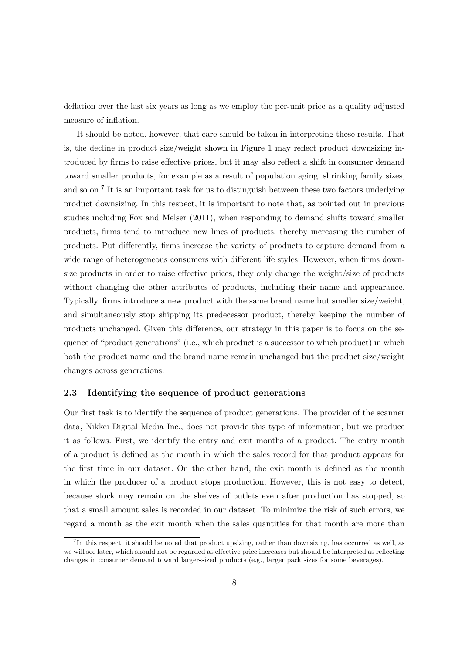deflation over the last six years as long as we employ the per-unit price as a quality adjusted measure of inflation.

It should be noted, however, that care should be taken in interpreting these results. That is, the decline in product size/weight shown in Figure 1 may reflect product downsizing introduced by firms to raise effective prices, but it may also reflect a shift in consumer demand toward smaller products, for example as a result of population aging, shrinking family sizes, and so on.<sup>7</sup> It is an important task for us to distinguish between these two factors underlying product downsizing. In this respect, it is important to note that, as pointed out in previous studies including Fox and Melser (2011), when responding to demand shifts toward smaller products, firms tend to introduce new lines of products, thereby increasing the number of products. Put differently, firms increase the variety of products to capture demand from a wide range of heterogeneous consumers with different life styles. However, when firms downsize products in order to raise effective prices, they only change the weight/size of products without changing the other attributes of products, including their name and appearance. Typically, firms introduce a new product with the same brand name but smaller size/weight, and simultaneously stop shipping its predecessor product, thereby keeping the number of products unchanged. Given this difference, our strategy in this paper is to focus on the sequence of "product generations" (i.e., which product is a successor to which product) in which both the product name and the brand name remain unchanged but the product size/weight changes across generations.

#### **2.3 Identifying the sequence of product generations**

Our first task is to identify the sequence of product generations. The provider of the scanner data, Nikkei Digital Media Inc., does not provide this type of information, but we produce it as follows. First, we identify the entry and exit months of a product. The entry month of a product is defined as the month in which the sales record for that product appears for the first time in our dataset. On the other hand, the exit month is defined as the month in which the producer of a product stops production. However, this is not easy to detect, because stock may remain on the shelves of outlets even after production has stopped, so that a small amount sales is recorded in our dataset. To minimize the risk of such errors, we regard a month as the exit month when the sales quantities for that month are more than

<sup>&</sup>lt;sup>7</sup>In this respect, it should be noted that product upsizing, rather than downsizing, has occurred as well, as we will see later, which should not be regarded as effective price increases but should be interpreted as reflecting changes in consumer demand toward larger-sized products (e.g., larger pack sizes for some beverages).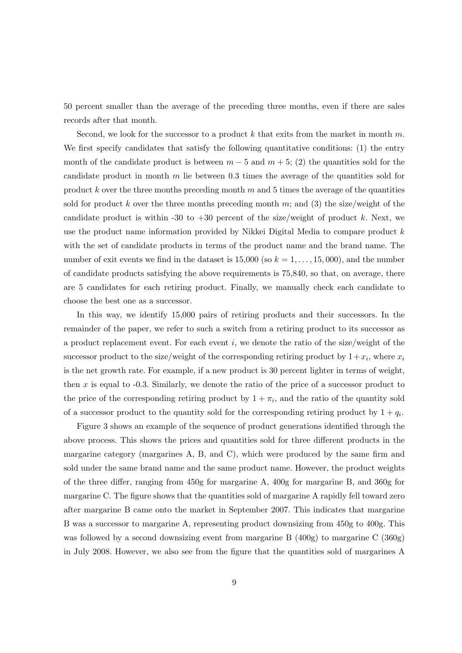50 percent smaller than the average of the preceding three months, even if there are sales records after that month.

Second, we look for the successor to a product *k* that exits from the market in month *m*. We first specify candidates that satisfy the following quantitative conditions: (1) the entry month of the candidate product is between  $m-5$  and  $m+5$ ; (2) the quantities sold for the candidate product in month *m* lie between 0.3 times the average of the quantities sold for product *k* over the three months preceding month *m* and 5 times the average of the quantities sold for product k over the three months preceding month  $m$ ; and (3) the size/weight of the candidate product is within -30 to  $+30$  percent of the size/weight of product k. Next, we use the product name information provided by Nikkei Digital Media to compare product *k* with the set of candidate products in terms of the product name and the brand name. The number of exit events we find in the dataset is  $15,000$  (so  $k = 1, \ldots, 15,000$ ), and the number of candidate products satisfying the above requirements is 75,840, so that, on average, there are 5 candidates for each retiring product. Finally, we manually check each candidate to choose the best one as a successor.

In this way, we identify 15,000 pairs of retiring products and their successors. In the remainder of the paper, we refer to such a switch from a retiring product to its successor as a product replacement event. For each event *i*, we denote the ratio of the size/weight of the successor product to the size/weight of the corresponding retiring product by  $1+x_i$ , where  $x_i$ is the net growth rate. For example, if a new product is 30 percent lighter in terms of weight, then *x* is equal to -0.3. Similarly, we denote the ratio of the price of a successor product to the price of the corresponding retiring product by  $1 + \pi_i$ , and the ratio of the quantity sold of a successor product to the quantity sold for the corresponding retiring product by  $1 + q_i$ .

Figure 3 shows an example of the sequence of product generations identified through the above process. This shows the prices and quantities sold for three different products in the margarine category (margarines A, B, and C), which were produced by the same firm and sold under the same brand name and the same product name. However, the product weights of the three differ, ranging from 450g for margarine A, 400g for margarine B, and 360g for margarine C. The figure shows that the quantities sold of margarine A rapidly fell toward zero after margarine B came onto the market in September 2007. This indicates that margarine B was a successor to margarine A, representing product downsizing from 450g to 400g. This was followed by a second downsizing event from margarine B (400g) to margarine C (360g) in July 2008. However, we also see from the figure that the quantities sold of margarines A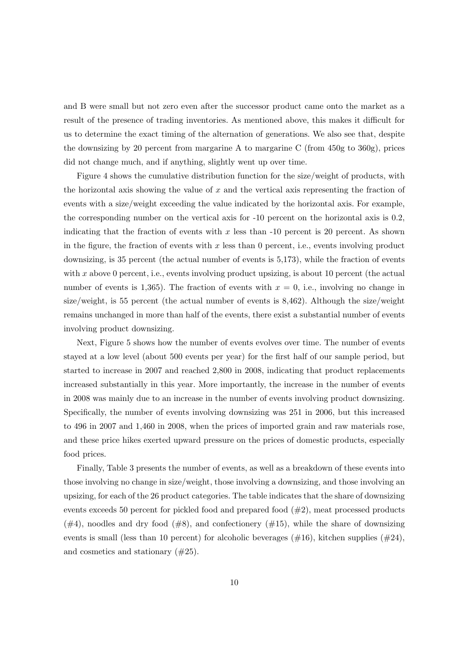and B were small but not zero even after the successor product came onto the market as a result of the presence of trading inventories. As mentioned above, this makes it difficult for us to determine the exact timing of the alternation of generations. We also see that, despite the downsizing by 20 percent from margarine A to margarine C (from 450g to 360g), prices did not change much, and if anything, slightly went up over time.

Figure 4 shows the cumulative distribution function for the size/weight of products, with the horizontal axis showing the value of *x* and the vertical axis representing the fraction of events with a size/weight exceeding the value indicated by the horizontal axis. For example, the corresponding number on the vertical axis for -10 percent on the horizontal axis is 0.2, indicating that the fraction of events with *x* less than -10 percent is 20 percent. As shown in the figure, the fraction of events with *x* less than 0 percent, i.e., events involving product downsizing, is 35 percent (the actual number of events is 5,173), while the fraction of events with x above 0 percent, i.e., events involving product upsizing, is about 10 percent (the actual number of events is 1,365). The fraction of events with  $x = 0$ , i.e., involving no change in size/weight, is 55 percent (the actual number of events is 8,462). Although the size/weight remains unchanged in more than half of the events, there exist a substantial number of events involving product downsizing.

Next, Figure 5 shows how the number of events evolves over time. The number of events stayed at a low level (about 500 events per year) for the first half of our sample period, but started to increase in 2007 and reached 2,800 in 2008, indicating that product replacements increased substantially in this year. More importantly, the increase in the number of events in 2008 was mainly due to an increase in the number of events involving product downsizing. Specifically, the number of events involving downsizing was 251 in 2006, but this increased to 496 in 2007 and 1,460 in 2008, when the prices of imported grain and raw materials rose, and these price hikes exerted upward pressure on the prices of domestic products, especially food prices.

Finally, Table 3 presents the number of events, as well as a breakdown of these events into those involving no change in size/weight, those involving a downsizing, and those involving an upsizing, for each of the 26 product categories. The table indicates that the share of downsizing events exceeds 50 percent for pickled food and prepared food (#2), meat processed products  $(\#4)$ , noodles and dry food  $(\#8)$ , and confectionery  $(\#15)$ , while the share of downsizing events is small (less than 10 percent) for alcoholic beverages  $(\#16)$ , kitchen supplies  $(\#24)$ , and cosmetics and stationary (#25).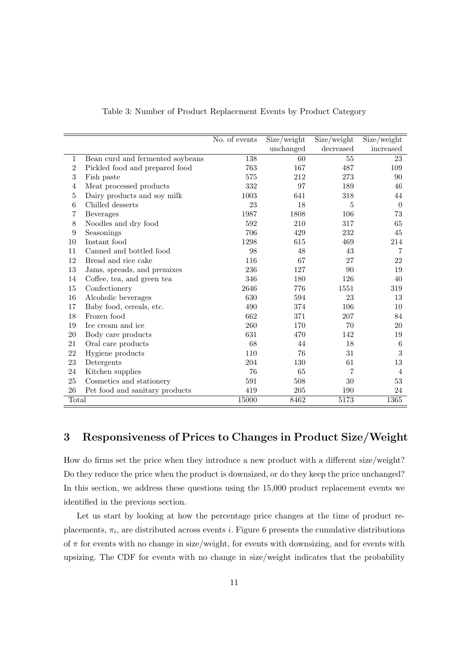|                  |                                  | No. of events | Size/weight | Size/weight | Size/weight    |
|------------------|----------------------------------|---------------|-------------|-------------|----------------|
|                  |                                  |               | unchanged   | decreased   | increased      |
| 1                | Bean curd and fermented soybeans | 138           | 60          | 55          | 23             |
| $\overline{2}$   | Pickled food and prepared food   | 763           | 167         | 487         | 109            |
| 3                | Fish paste                       | 575           | 212         | 273         | 90             |
| $\overline{4}$   | Meat processed products          | 332           | 97          | 189         | 46             |
| 5                | Dairy products and soy milk      | 1003          | 641         | 318         | 44             |
| 6                | Chilled desserts                 | 23            | 18          | 5           | $\overline{0}$ |
| 7                | <b>Beverages</b>                 | 1987          | 1808        | 106         | 73             |
| 8                | Noodles and dry food             | 592           | 210         | 317         | 65             |
| $\boldsymbol{9}$ | Seasonings                       | 706           | 429         | 232         | 45             |
| 10               | Instant food                     | 1298          | 615         | 469         | 214            |
| 11               | Canned and bottled food          | 98            | 48          | 43          | $\overline{7}$ |
| 12               | Bread and rice cake              | 116           | 67          | 27          | 22             |
| 13               | Jams, spreads, and premixes      | 236           | 127         | 90          | 19             |
| 14               | Coffee, tea, and green tea       | 346           | 180         | 126         | 40             |
| 15               | Confectionery                    | 2646          | 776         | 1551        | 319            |
| 16               | Alcoholic beverages              | 630           | 594         | 23          | 13             |
| 17               | Baby food, cereals, etc.         | 490           | 374         | 106         | 10             |
| 18               | Frozen food                      | 662           | 371         | 207         | 84             |
| 19               | Ice cream and ice                | 260           | 170         | 70          | 20             |
| 20               | Body care products               | 631           | 470         | 142         | 19             |
| 21               | Oral care products               | 68            | 44          | 18          | 6              |
| 22               | Hygiene products                 | 110           | 76          | 31          | $\sqrt{3}$     |
| 23               | Detergents                       | 204           | 130         | 61          | 13             |
| 24               | Kitchen supplies                 | 76            | 65          | 7           | 4              |
| 25               | Cosmetics and stationery         | 591           | 508         | 30          | 53             |
| 26               | Pet food and sanitary products   | 419           | 205         | 190         | 24             |
| Total            |                                  | 15000         | 8462        | 5173        | 1365           |

Table 3: Number of Product Replacement Events by Product Category

### **3 Responsiveness of Prices to Changes in Product Size/Weight**

How do firms set the price when they introduce a new product with a different size/weight? Do they reduce the price when the product is downsized, or do they keep the price unchanged? In this section, we address these questions using the 15,000 product replacement events we identified in the previous section.

Let us start by looking at how the percentage price changes at the time of product replacements,  $\pi_i$ , are distributed across events *i*. Figure 6 presents the cumulative distributions of  $\pi$  for events with no change in size/weight, for events with downsizing, and for events with upsizing. The CDF for events with no change in size/weight indicates that the probability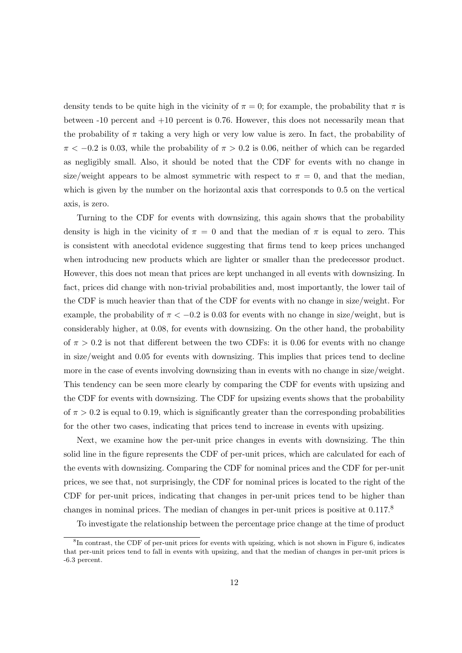density tends to be quite high in the vicinity of  $\pi = 0$ ; for example, the probability that  $\pi$  is between -10 percent and +10 percent is 0.76. However, this does not necessarily mean that the probability of *π* taking a very high or very low value is zero. In fact, the probability of  $\pi$  < −0.2 is 0.03, while the probability of  $\pi$  > 0.2 is 0.06, neither of which can be regarded as negligibly small. Also, it should be noted that the CDF for events with no change in size/weight appears to be almost symmetric with respect to  $\pi = 0$ , and that the median, which is given by the number on the horizontal axis that corresponds to 0.5 on the vertical axis, is zero.

Turning to the CDF for events with downsizing, this again shows that the probability density is high in the vicinity of  $\pi = 0$  and that the median of  $\pi$  is equal to zero. This is consistent with anecdotal evidence suggesting that firms tend to keep prices unchanged when introducing new products which are lighter or smaller than the predecessor product. However, this does not mean that prices are kept unchanged in all events with downsizing. In fact, prices did change with non-trivial probabilities and, most importantly, the lower tail of the CDF is much heavier than that of the CDF for events with no change in size/weight. For example, the probability of  $\pi < -0.2$  is 0.03 for events with no change in size/weight, but is considerably higher, at 0.08, for events with downsizing. On the other hand, the probability of  $\pi > 0.2$  is not that different between the two CDFs: it is 0.06 for events with no change in size/weight and 0.05 for events with downsizing. This implies that prices tend to decline more in the case of events involving downsizing than in events with no change in size/weight. This tendency can be seen more clearly by comparing the CDF for events with upsizing and the CDF for events with downsizing. The CDF for upsizing events shows that the probability of  $\pi > 0.2$  is equal to 0.19, which is significantly greater than the corresponding probabilities for the other two cases, indicating that prices tend to increase in events with upsizing.

Next, we examine how the per-unit price changes in events with downsizing. The thin solid line in the figure represents the CDF of per-unit prices, which are calculated for each of the events with downsizing. Comparing the CDF for nominal prices and the CDF for per-unit prices, we see that, not surprisingly, the CDF for nominal prices is located to the right of the CDF for per-unit prices, indicating that changes in per-unit prices tend to be higher than changes in nominal prices. The median of changes in per-unit prices is positive at 0.117.<sup>8</sup>

To investigate the relationship between the percentage price change at the time of product

<sup>&</sup>lt;sup>8</sup>In contrast, the CDF of per-unit prices for events with upsizing, which is not shown in Figure 6, indicates that per-unit prices tend to fall in events with upsizing, and that the median of changes in per-unit prices is -6.3 percent.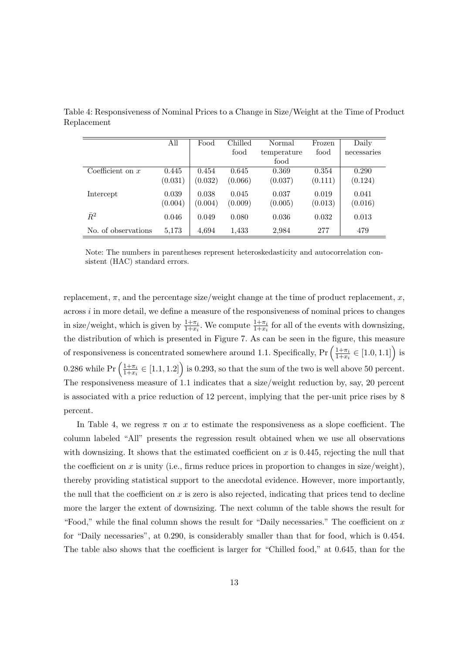|                     | All     | Food    | Chilled | Normal      | Frozen  | Daily       |
|---------------------|---------|---------|---------|-------------|---------|-------------|
|                     |         |         | food    | temperature | food    | necessaries |
|                     |         |         |         | food        |         |             |
| Coefficient on $x$  | 0.445   | 0.454   | 0.645   | 0.369       | 0.354   | 0.290       |
|                     | (0.031) | (0.032) | (0.066) | (0.037)     | (0.111) | (0.124)     |
| Intercept           | 0.039   | 0.038   | 0.045   | 0.037       | 0.019   | 0.041       |
|                     | (0.004) | (0.004) | (0.009) | (0.005)     | (0.013) | (0.016)     |
| $\bar{R}^2$         | 0.046   | 0.049   | 0.080   | 0.036       | 0.032   | 0.013       |
| No. of observations | 5,173   | 4,694   | 1,433   | 2,984       | 277     | 479         |

Table 4: Responsiveness of Nominal Prices to a Change in Size/Weight at the Time of Product Replacement

Note: The numbers in parentheses represent heteroskedasticity and autocorrelation consistent (HAC) standard errors.

replacement,  $\pi$ , and the percentage size/weight change at the time of product replacement,  $x$ , across *i* in more detail, we define a measure of the responsiveness of nominal prices to changes in size/weight, which is given by  $\frac{1+\pi_i}{1+x_i}$ . We compute  $\frac{1+\pi_i}{1+x_i}$  for all of the events with downsizing, the distribution of which is presented in Figure 7. As can be seen in the figure, this measure of responsiveness is concentrated somewhere around 1.1. Specifically,  $Pr\left(\frac{1+\pi_i}{1+r}\right)$  $\frac{1+\pi_i}{1+x_i} \in [1.0, 1.1]$ ) is 0.286 while  $Pr\left(\frac{1+\pi_i}{1+r_i}\right)$  $\frac{1+\pi_i}{1+x_i} \in [1.1, 1.2]$  is 0.293, so that the sum of the two is well above 50 percent. The responsiveness measure of 1.1 indicates that a size/weight reduction by, say, 20 percent is associated with a price reduction of 12 percent, implying that the per-unit price rises by 8 percent.

In Table 4, we regress  $\pi$  on  $x$  to estimate the responsiveness as a slope coefficient. The column labeled "All" presents the regression result obtained when we use all observations with downsizing. It shows that the estimated coefficient on  $x$  is 0.445, rejecting the null that the coefficient on  $x$  is unity (i.e., firms reduce prices in proportion to changes in size/weight), thereby providing statistical support to the anecdotal evidence. However, more importantly, the null that the coefficient on *x* is zero is also rejected, indicating that prices tend to decline more the larger the extent of downsizing. The next column of the table shows the result for "Food," while the final column shows the result for "Daily necessaries." The coefficient on *x* for "Daily necessaries", at 0.290, is considerably smaller than that for food, which is 0.454. The table also shows that the coefficient is larger for "Chilled food," at 0.645, than for the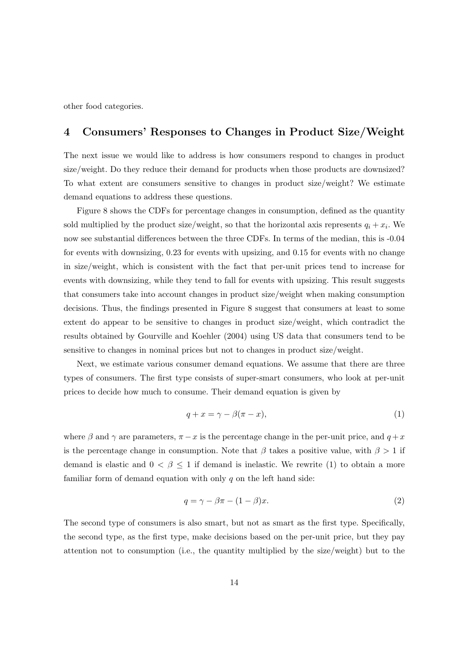other food categories.

### **4 Consumers' Responses to Changes in Product Size/Weight**

The next issue we would like to address is how consumers respond to changes in product size/weight. Do they reduce their demand for products when those products are downsized? To what extent are consumers sensitive to changes in product size/weight? We estimate demand equations to address these questions.

Figure 8 shows the CDFs for percentage changes in consumption, defined as the quantity sold multiplied by the product size/weight, so that the horizontal axis represents  $q_i + x_i$ . We now see substantial differences between the three CDFs. In terms of the median, this is -0.04 for events with downsizing, 0.23 for events with upsizing, and 0.15 for events with no change in size/weight, which is consistent with the fact that per-unit prices tend to increase for events with downsizing, while they tend to fall for events with upsizing. This result suggests that consumers take into account changes in product size/weight when making consumption decisions. Thus, the findings presented in Figure 8 suggest that consumers at least to some extent do appear to be sensitive to changes in product size/weight, which contradict the results obtained by Gourville and Koehler (2004) using US data that consumers tend to be sensitive to changes in nominal prices but not to changes in product size/weight.

Next, we estimate various consumer demand equations. We assume that there are three types of consumers. The first type consists of super-smart consumers, who look at per-unit prices to decide how much to consume. Their demand equation is given by

$$
q + x = \gamma - \beta(\pi - x),\tag{1}
$$

where  $\beta$  and  $\gamma$  are parameters,  $\pi - x$  is the percentage change in the per-unit price, and  $q + x$ is the percentage change in consumption. Note that  $\beta$  takes a positive value, with  $\beta > 1$  if demand is elastic and  $0 < \beta \leq 1$  if demand is inelastic. We rewrite (1) to obtain a more familiar form of demand equation with only *q* on the left hand side:

$$
q = \gamma - \beta \pi - (1 - \beta)x. \tag{2}
$$

The second type of consumers is also smart, but not as smart as the first type. Specifically, the second type, as the first type, make decisions based on the per-unit price, but they pay attention not to consumption (i.e., the quantity multiplied by the size/weight) but to the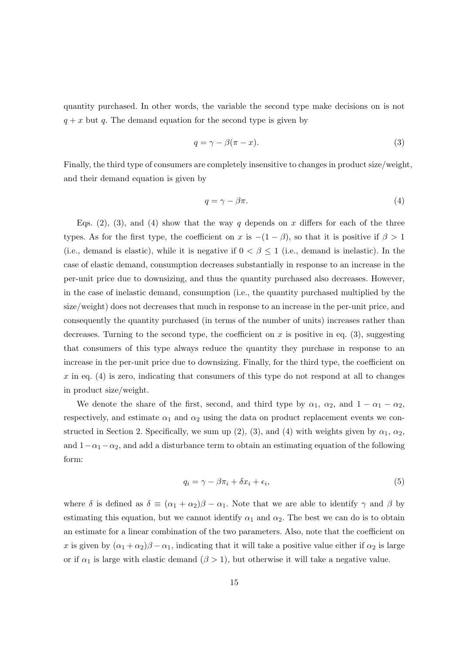quantity purchased. In other words, the variable the second type make decisions on is not  $q + x$  but q. The demand equation for the second type is given by

$$
q = \gamma - \beta(\pi - x). \tag{3}
$$

Finally, the third type of consumers are completely insensitive to changes in product size/weight, and their demand equation is given by

$$
q = \gamma - \beta \pi. \tag{4}
$$

Eqs.  $(2)$ ,  $(3)$ , and  $(4)$  show that the way *q* depends on *x* differs for each of the three types. As for the first type, the coefficient on *x* is  $-(1 - \beta)$ , so that it is positive if  $\beta > 1$ (i.e., demand is elastic), while it is negative if  $0 < \beta \leq 1$  (i.e., demand is inelastic). In the case of elastic demand, consumption decreases substantially in response to an increase in the per-unit price due to downsizing, and thus the quantity purchased also decreases. However, in the case of inelastic demand, consumption (i.e., the quantity purchased multiplied by the size/weight) does not decreases that much in response to an increase in the per-unit price, and consequently the quantity purchased (in terms of the number of units) increases rather than decreases. Turning to the second type, the coefficient on  $x$  is positive in eq. (3), suggesting that consumers of this type always reduce the quantity they purchase in response to an increase in the per-unit price due to downsizing. Finally, for the third type, the coefficient on *x* in eq. (4) is zero, indicating that consumers of this type do not respond at all to changes in product size/weight.

We denote the share of the first, second, and third type by  $\alpha_1$ ,  $\alpha_2$ , and  $1 - \alpha_1 - \alpha_2$ , respectively, and estimate  $\alpha_1$  and  $\alpha_2$  using the data on product replacement events we constructed in Section 2. Specifically, we sum up  $(2)$ ,  $(3)$ , and  $(4)$  with weights given by  $\alpha_1$ ,  $\alpha_2$ , and  $1-\alpha_1-\alpha_2$ , and add a disturbance term to obtain an estimating equation of the following form:

$$
q_i = \gamma - \beta \pi_i + \delta x_i + \epsilon_i,\tag{5}
$$

where  $\delta$  is defined as  $\delta \equiv (\alpha_1 + \alpha_2)\beta - \alpha_1$ . Note that we are able to identify  $\gamma$  and  $\beta$  by estimating this equation, but we cannot identify  $\alpha_1$  and  $\alpha_2$ . The best we can do is to obtain an estimate for a linear combination of the two parameters. Also, note that the coefficient on *x* is given by  $(\alpha_1 + \alpha_2)\beta - \alpha_1$ , indicating that it will take a positive value either if  $\alpha_2$  is large or if  $\alpha_1$  is large with elastic demand  $(\beta > 1)$ , but otherwise it will take a negative value.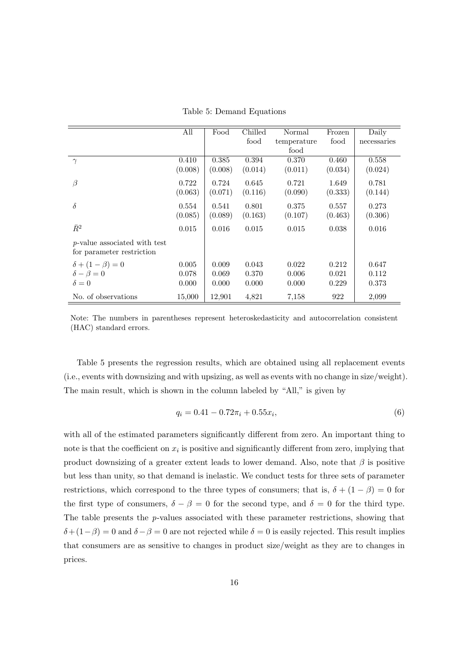|                                      | All     | Food    | Chilled | Normal      | Frozen  | Daily       |
|--------------------------------------|---------|---------|---------|-------------|---------|-------------|
|                                      |         |         | food    | temperature | food    | necessaries |
|                                      |         |         |         | food        |         |             |
| $\gamma$                             | 0.410   | 0.385   | 0.394   | 0.370       | 0.460   | 0.558       |
|                                      | (0.008) | (0.008) | (0.014) | (0.011)     | (0.034) | (0.024)     |
| $\beta$                              | 0.722   | 0.724   | 0.645   | 0.721       | 1.649   | 0.781       |
|                                      | (0.063) | (0.071) | (0.116) | (0.090)     | (0.333) | (0.144)     |
| $\delta$                             | 0.554   | 0.541   | 0.801   | 0.375       | 0.557   | 0.273       |
|                                      | (0.085) | (0.089) | (0.163) | (0.107)     | (0.463) | (0.306)     |
| $\bar{R}^2$                          | 0.015   | 0.016   | 0.015   | 0.015       | 0.038   | 0.016       |
| <i>p</i> -value associated with test |         |         |         |             |         |             |
| for parameter restriction            |         |         |         |             |         |             |
| $\delta + (1 - \beta) = 0$           | 0.005   | 0.009   | 0.043   | 0.022       | 0.212   | 0.647       |
| $\delta - \beta = 0$                 | 0.078   | 0.069   | 0.370   | 0.006       | 0.021   | 0.112       |
| $\delta = 0$                         | 0.000   | 0.000   | 0.000   | 0.000       | 0.229   | 0.373       |
| No. of observations                  | 15,000  | 12,901  | 4,821   | 7.158       | 922     | 2,099       |

Table 5: Demand Equations

Note: The numbers in parentheses represent heteroskedasticity and autocorrelation consistent (HAC) standard errors.

Table 5 presents the regression results, which are obtained using all replacement events (i.e., events with downsizing and with upsizing, as well as events with no change in size/weight). The main result, which is shown in the column labeled by "All," is given by

$$
q_i = 0.41 - 0.72\pi_i + 0.55x_i,\tag{6}
$$

with all of the estimated parameters significantly different from zero. An important thing to note is that the coefficient on  $x_i$  is positive and significantly different from zero, implying that product downsizing of a greater extent leads to lower demand. Also, note that *β* is positive but less than unity, so that demand is inelastic. We conduct tests for three sets of parameter restrictions, which correspond to the three types of consumers; that is,  $\delta + (1 - \beta) = 0$  for the first type of consumers,  $\delta - \beta = 0$  for the second type, and  $\delta = 0$  for the third type. The table presents the *p*-values associated with these parameter restrictions, showing that  $\delta + (1 - \beta) = 0$  and  $\delta - \beta = 0$  are not rejected while  $\delta = 0$  is easily rejected. This result implies that consumers are as sensitive to changes in product size/weight as they are to changes in prices.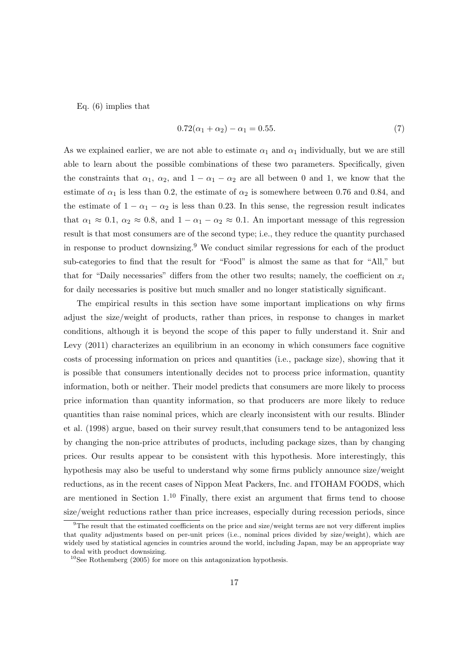Eq. (6) implies that

$$
0.72(\alpha_1 + \alpha_2) - \alpha_1 = 0.55. \tag{7}
$$

As we explained earlier, we are not able to estimate  $\alpha_1$  and  $\alpha_1$  individually, but we are still able to learn about the possible combinations of these two parameters. Specifically, given the constraints that  $\alpha_1$ ,  $\alpha_2$ , and  $1 - \alpha_1 - \alpha_2$  are all between 0 and 1, we know that the estimate of  $\alpha_1$  is less than 0.2, the estimate of  $\alpha_2$  is somewhere between 0.76 and 0.84, and the estimate of  $1 - \alpha_1 - \alpha_2$  is less than 0.23. In this sense, the regression result indicates that  $\alpha_1 \approx 0.1$ ,  $\alpha_2 \approx 0.8$ , and  $1 - \alpha_1 - \alpha_2 \approx 0.1$ . An important message of this regression result is that most consumers are of the second type; i.e., they reduce the quantity purchased in response to product downsizing.<sup>9</sup> We conduct similar regressions for each of the product sub-categories to find that the result for "Food" is almost the same as that for "All," but that for "Daily necessaries" differs from the other two results; namely, the coefficient on  $x_i$ for daily necessaries is positive but much smaller and no longer statistically significant.

The empirical results in this section have some important implications on why firms adjust the size/weight of products, rather than prices, in response to changes in market conditions, although it is beyond the scope of this paper to fully understand it. Snir and Levy (2011) characterizes an equilibrium in an economy in which consumers face cognitive costs of processing information on prices and quantities (i.e., package size), showing that it is possible that consumers intentionally decides not to process price information, quantity information, both or neither. Their model predicts that consumers are more likely to process price information than quantity information, so that producers are more likely to reduce quantities than raise nominal prices, which are clearly inconsistent with our results. Blinder et al. (1998) argue, based on their survey result,that consumers tend to be antagonized less by changing the non-price attributes of products, including package sizes, than by changing prices. Our results appear to be consistent with this hypothesis. More interestingly, this hypothesis may also be useful to understand why some firms publicly announce size/weight reductions, as in the recent cases of Nippon Meat Packers, Inc. and ITOHAM FOODS, which are mentioned in Section  $1^{10}$  Finally, there exist an argument that firms tend to choose size/weight reductions rather than price increases, especially during recession periods, since

 $9$ The result that the estimated coefficients on the price and size/weight terms are not very different implies that quality adjustments based on per-unit prices (i.e., nominal prices divided by size/weight), which are widely used by statistical agencies in countries around the world, including Japan, may be an appropriate way to deal with product downsizing.

 $10$ See Rothemberg (2005) for more on this antagonization hypothesis.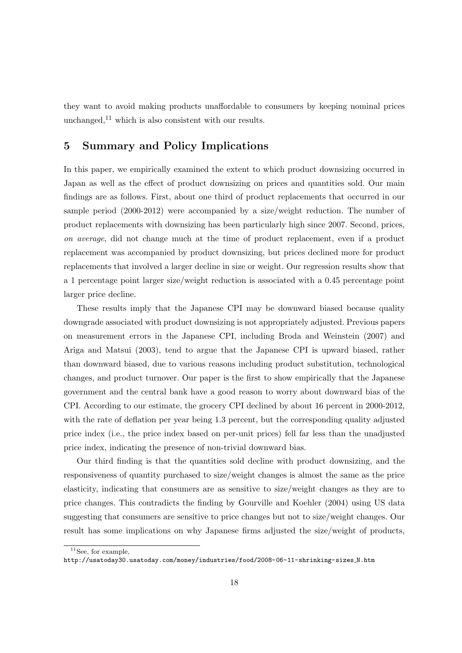they want to avoid making products unaffordable to consumers by keeping nominal prices unchanged, $^{11}$  which is also consistent with our results.

#### **5 Summary and Policy Implications**

In this paper, we empirically examined the extent to which product downsizing occurred in Japan as well as the effect of product downsizing on prices and quantities sold. Our main findings are as follows. First, about one third of product replacements that occurred in our sample period (2000-2012) were accompanied by a size/weight reduction. The number of product replacements with downsizing has been particularly high since 2007. Second, prices, *on average*, did not change much at the time of product replacement, even if a product replacement was accompanied by product downsizing, but prices declined more for product replacements that involved a larger decline in size or weight. Our regression results show that a 1 percentage point larger size/weight reduction is associated with a 0.45 percentage point larger price decline.

These results imply that the Japanese CPI may be downward biased because quality downgrade associated with product downsizing is not appropriately adjusted. Previous papers on measurement errors in the Japanese CPI, including Broda and Weinstein (2007) and Ariga and Matsui (2003), tend to argue that the Japanese CPI is upward biased, rather than downward biased, due to various reasons including product substitution, technological changes, and product turnover. Our paper is the first to show empirically that the Japanese government and the central bank have a good reason to worry about downward bias of the CPI. According to our estimate, the grocery CPI declined by about 16 percent in 2000-2012, with the rate of deflation per year being 1.3 percent, but the corresponding quality adjusted price index (i.e., the price index based on per-unit prices) fell far less than the unadjusted price index, indicating the presence of non-trivial downward bias.

Our third finding is that the quantities sold decline with product downsizing, and the responsiveness of quantity purchased to size/weight changes is almost the same as the price elasticity, indicating that consumers are as sensitive to size/weight changes as they are to price changes. This contradicts the finding by Gourville and Koehler (2004) using US data suggesting that consumers are sensitive to price changes but not to size/weight changes. Our result has some implications on why Japanese firms adjusted the size/weight of products,

 $11$ See, for example,

http://usatoday30.usatoday.com/money/industries/food/2008-06-11-shrinking-sizes N.htm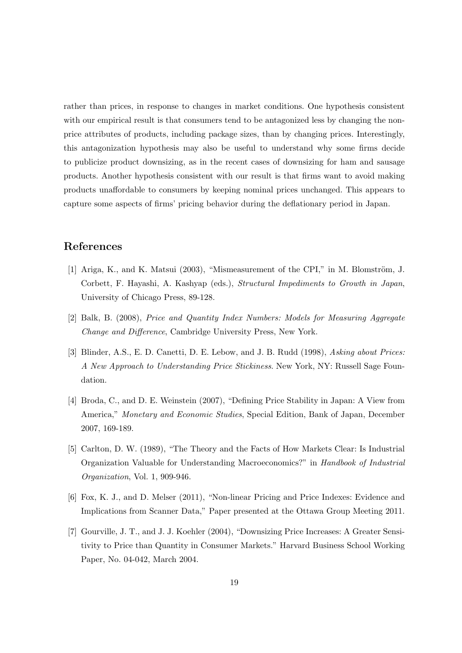rather than prices, in response to changes in market conditions. One hypothesis consistent with our empirical result is that consumers tend to be antagonized less by changing the nonprice attributes of products, including package sizes, than by changing prices. Interestingly, this antagonization hypothesis may also be useful to understand why some firms decide to publicize product downsizing, as in the recent cases of downsizing for ham and sausage products. Another hypothesis consistent with our result is that firms want to avoid making products unaffordable to consumers by keeping nominal prices unchanged. This appears to capture some aspects of firms' pricing behavior during the deflationary period in Japan.

#### **References**

- [1] Ariga, K., and K. Matsui  $(2003)$ , "Mismeasurement of the CPI," in M. Blomström, J. Corbett, F. Hayashi, A. Kashyap (eds.), *Structural Impediments to Growth in Japan*, University of Chicago Press, 89-128.
- [2] Balk, B. (2008), *Price and Quantity Index Numbers: Models for Measuring Aggregate Change and Difference*, Cambridge University Press, New York.
- [3] Blinder, A.S., E. D. Canetti, D. E. Lebow, and J. B. Rudd (1998), *Asking about Prices: A New Approach to Understanding Price Stickiness*. New York, NY: Russell Sage Foundation.
- [4] Broda, C., and D. E. Weinstein (2007), "Defining Price Stability in Japan: A View from America," *Monetary and Economic Studies*, Special Edition, Bank of Japan, December 2007, 169-189.
- [5] Carlton, D. W. (1989), "The Theory and the Facts of How Markets Clear: Is Industrial Organization Valuable for Understanding Macroeconomics?" in *Handbook of Industrial Organization*, Vol. 1, 909-946.
- [6] Fox, K. J., and D. Melser (2011), "Non-linear Pricing and Price Indexes: Evidence and Implications from Scanner Data," Paper presented at the Ottawa Group Meeting 2011.
- [7] Gourville, J. T., and J. J. Koehler (2004), "Downsizing Price Increases: A Greater Sensitivity to Price than Quantity in Consumer Markets." Harvard Business School Working Paper, No. 04-042, March 2004.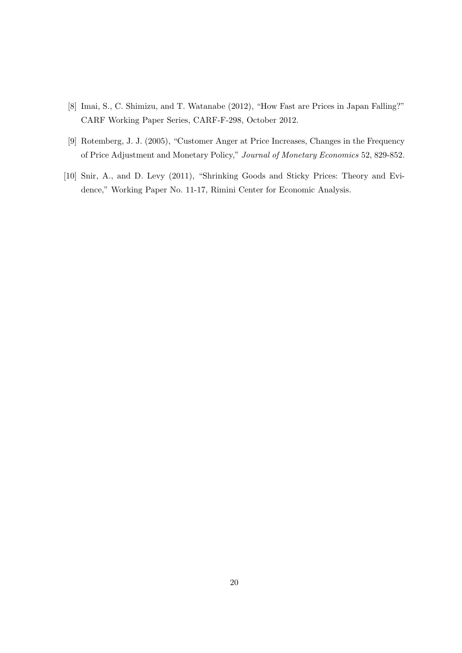- [8] Imai, S., C. Shimizu, and T. Watanabe (2012), "How Fast are Prices in Japan Falling?" CARF Working Paper Series, CARF-F-298, October 2012.
- [9] Rotemberg, J. J. (2005), "Customer Anger at Price Increases, Changes in the Frequency of Price Adjustment and Monetary Policy," *Journal of Monetary Economics* 52, 829-852.
- [10] Snir, A., and D. Levy (2011), "Shrinking Goods and Sticky Prices: Theory and Evidence," Working Paper No. 11-17, Rimini Center for Economic Analysis.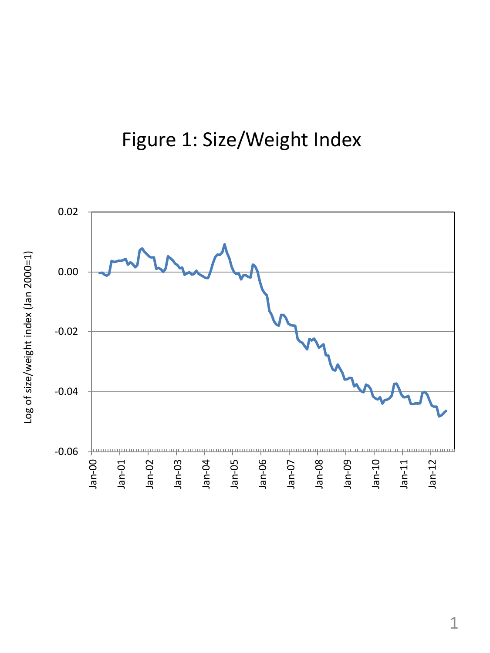### Figure 1: Size/Weight Index



Log of size/weight index (Jan 2000=1) Log of size/weight index (Jan 2000=1)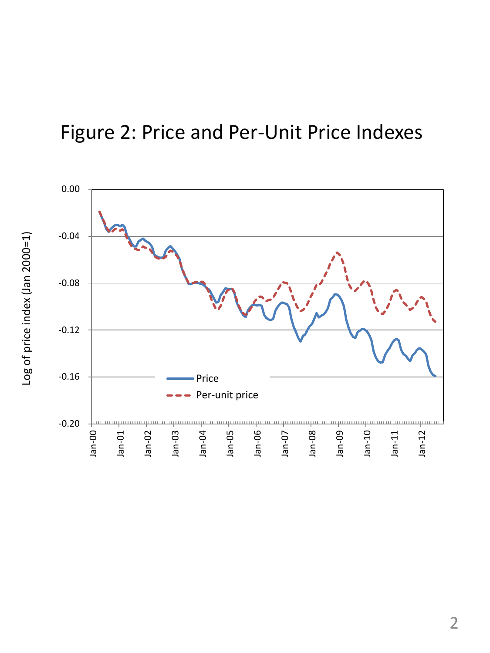### Figure 2: Price and Per-Unit Price Indexes

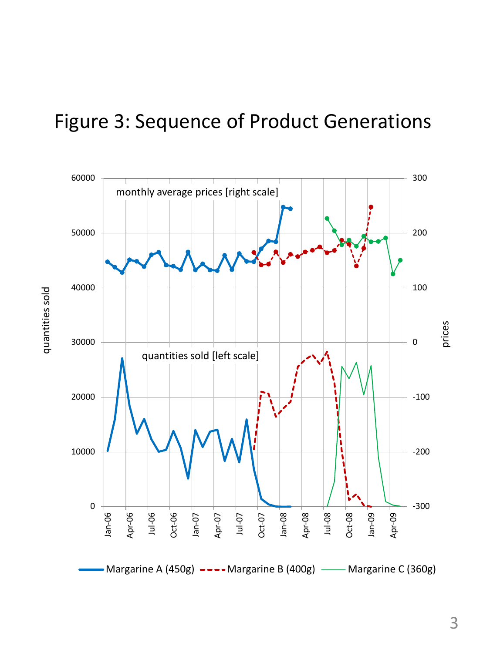### Figure 3: Sequence of Product Generations



3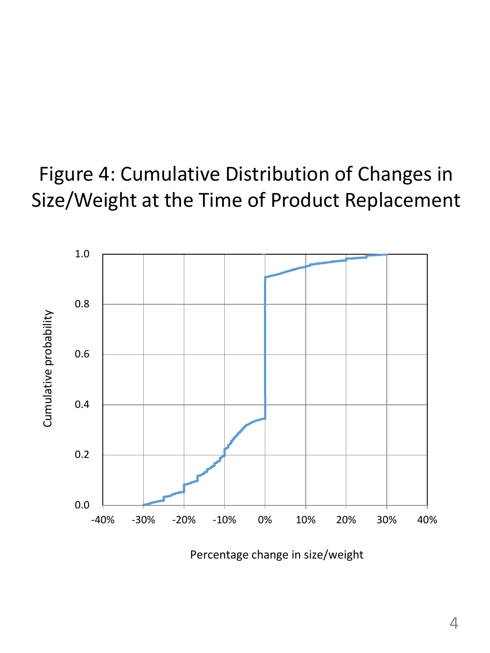## Figure 4: Cumulative Distribution of Changes in Size/Weight at the Time of Product Replacement



Percentage change in size/weight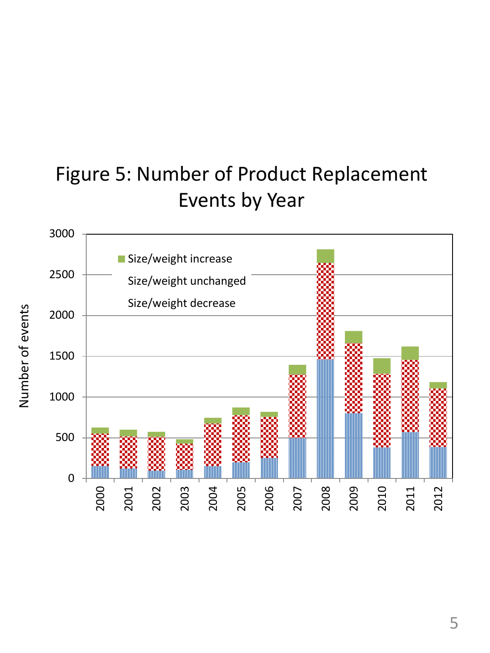## Figure 5: Number of Product Replacement Events by Year



Number of events Number of events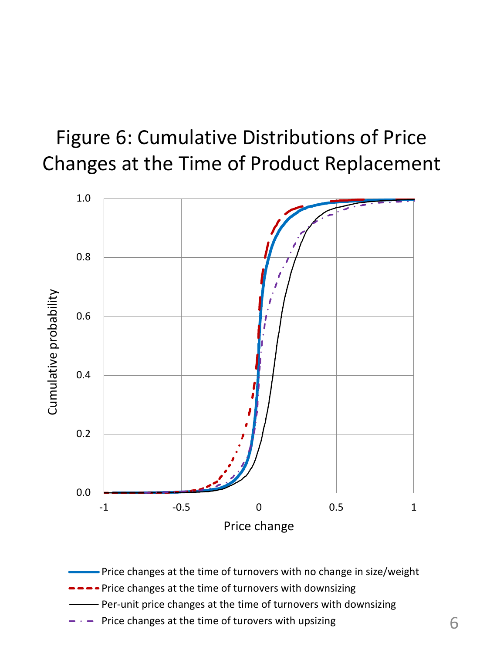## Figure 6: Cumulative Distributions of Price Changes at the Time of Product Replacement



- Price changes at the time of turnovers with no change in size/weight
- -- Price changes at the time of turnovers with downsizing
- Per-unit price changes at the time of turnovers with downsizing
- Price changes at the time of turovers with upsizing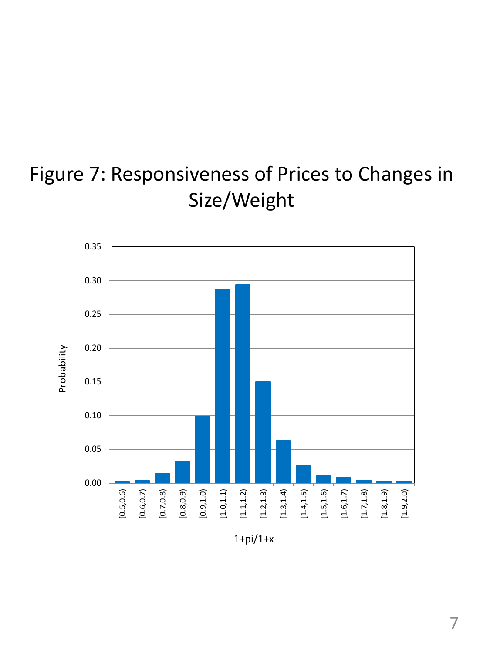## Figure 7: Responsiveness of Prices to Changes in Size/Weight



 $1 + pi/1+x$